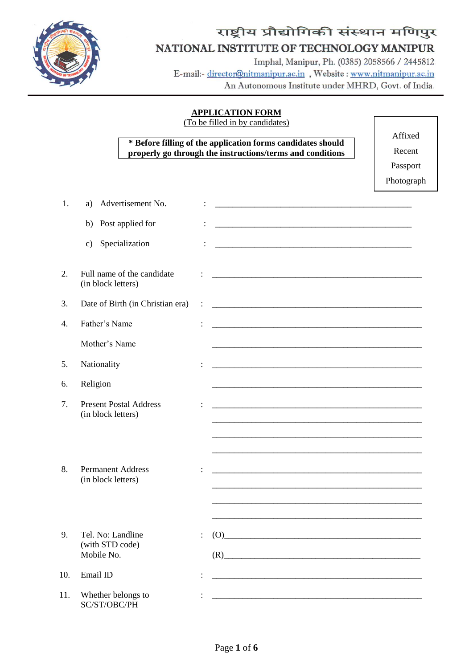

# राष्ट्रीय प्रौद्योगिकी संस्थान मणिपुर NATIONAL INSTITUTE OF TECHNOLOGY MANIPUR

Imphal, Manipur, Ph. (0385) 2058566 / 2445812 E-mail:- director@nitmanipur.ac.in, Website: www.nitmanipur.ac.in An Autonomous Institute under MHRD, Govt. of India.

## **APPLICATION FORM**

(To be filled in by candidates)

# **\* Before filling of the application forms candidates should properly go through the instructions/terms and conditions**

Affixed

Recent

Passport

Photograph

| 1.  | Advertisement No.<br>a)                             |                | <u> 1989 - Johann John Stone, mars eta biztanleria (h. 1989).</u>                                                     |
|-----|-----------------------------------------------------|----------------|-----------------------------------------------------------------------------------------------------------------------|
|     | Post applied for<br>b)                              |                | <u> 1989 - Johann John Stone, meil in der Stone aus der Stone aus der Stone aus der Stone aus der Stone aus der S</u> |
|     | Specialization<br>$\mathbf{c})$                     |                |                                                                                                                       |
| 2.  | Full name of the candidate<br>(in block letters)    |                |                                                                                                                       |
| 3.  | Date of Birth (in Christian era)                    | $\ddot{\cdot}$ |                                                                                                                       |
| 4.  | Father's Name                                       |                | <u> 1989 - Johann Harry Harry Harry Harry Harry Harry Harry Harry Harry Harry Harry Harry Harry Harry Harry Harry</u> |
|     | Mother's Name                                       |                |                                                                                                                       |
| 5.  | Nationality                                         |                |                                                                                                                       |
| 6.  | Religion                                            |                |                                                                                                                       |
| 7.  | <b>Present Postal Address</b><br>(in block letters) |                |                                                                                                                       |
|     |                                                     |                |                                                                                                                       |
| 8.  | <b>Permanent Address</b><br>(in block letters)      |                | <u> 1989 - Johann John Stoff, deutscher Stoffen und der Stoffen und der Stoffen und der Stoffen und der Stoffen</u>   |
|     |                                                     |                |                                                                                                                       |
| 9.  | Tel. No: Landline<br>(with STD code)                |                | (O)                                                                                                                   |
|     | Mobile No.                                          |                | (R)<br><u> 1980 - Jan Barbara, martxa al II-lea (h. 1980).</u>                                                        |
| 10. | Email ID                                            |                | <u> 1989 - Johann John Harry Harry Harry Harry Harry Harry Harry Harry Harry Harry Harry Harry Harry Harry Harry</u>  |
| 11. | Whether belongs to<br>SC/ST/OBC/PH                  |                |                                                                                                                       |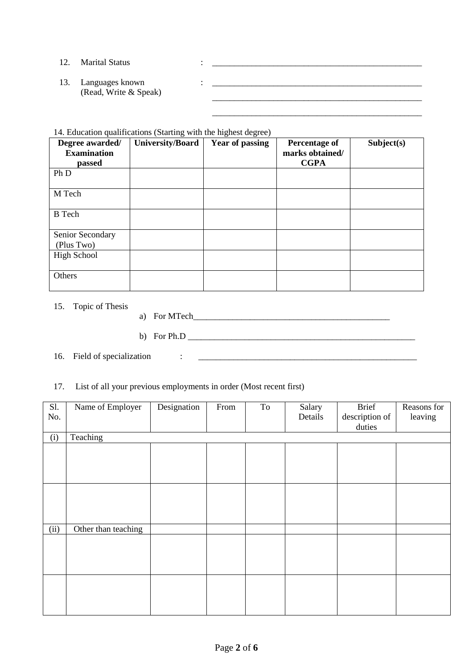| 12. | <b>Marital Status</b>                    |  |
|-----|------------------------------------------|--|
| 13. | Languages known<br>(Read, Write & Speak) |  |

\_\_\_\_\_\_\_\_\_\_\_\_\_\_\_\_\_\_\_\_\_\_\_\_\_\_\_\_\_\_\_\_\_\_\_\_\_\_\_\_\_\_\_\_\_\_\_\_

14. Education qualifications (Starting with the highest degree)

| Degree awarded/    | <b>University/Board</b> | <b>Year of passing</b> | <b>Percentage of</b> | Subject(s) |
|--------------------|-------------------------|------------------------|----------------------|------------|
| <b>Examination</b> |                         |                        | marks obtained/      |            |
| passed             |                         |                        | <b>CGPA</b>          |            |
| Ph D               |                         |                        |                      |            |
| M Tech             |                         |                        |                      |            |
| <b>B</b> Tech      |                         |                        |                      |            |
| Senior Secondary   |                         |                        |                      |            |
| (Plus Two)         |                         |                        |                      |            |
| <b>High School</b> |                         |                        |                      |            |
| Others             |                         |                        |                      |            |

15. Topic of Thesis

a) For MTech\_\_\_\_\_\_\_\_\_\_\_\_\_\_\_\_\_\_\_\_\_\_\_\_\_\_\_\_\_\_\_\_\_\_\_\_\_\_\_\_\_\_\_\_\_

b) For Ph.D \_\_\_\_\_\_\_\_\_\_\_\_\_\_\_\_\_\_\_\_\_\_\_\_\_\_\_\_\_\_\_\_\_\_\_\_\_\_\_\_\_\_\_\_\_\_\_\_\_\_\_\_

16. Field of specialization : \_\_\_\_\_\_\_\_\_\_\_\_\_\_\_\_\_\_\_\_\_\_\_\_\_\_\_\_\_\_\_\_\_\_\_\_\_\_\_\_\_\_\_\_\_\_\_\_\_\_

# 17. List of all your previous employments in order (Most recent first)

| Sl.<br>No. | Name of Employer    | Designation | From | To | Salary<br>Details | <b>Brief</b><br>description of<br>duties | Reasons for<br>leaving |
|------------|---------------------|-------------|------|----|-------------------|------------------------------------------|------------------------|
| (i)        | Teaching            |             |      |    |                   |                                          |                        |
|            |                     |             |      |    |                   |                                          |                        |
|            |                     |             |      |    |                   |                                          |                        |
|            |                     |             |      |    |                   |                                          |                        |
|            |                     |             |      |    |                   |                                          |                        |
|            |                     |             |      |    |                   |                                          |                        |
|            |                     |             |      |    |                   |                                          |                        |
|            |                     |             |      |    |                   |                                          |                        |
| (ii)       | Other than teaching |             |      |    |                   |                                          |                        |
|            |                     |             |      |    |                   |                                          |                        |
|            |                     |             |      |    |                   |                                          |                        |
|            |                     |             |      |    |                   |                                          |                        |
|            |                     |             |      |    |                   |                                          |                        |
|            |                     |             |      |    |                   |                                          |                        |
|            |                     |             |      |    |                   |                                          |                        |
|            |                     |             |      |    |                   |                                          |                        |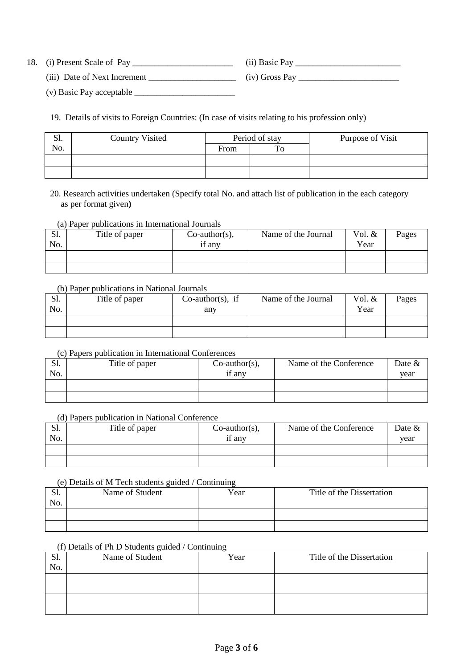18. (i) Present Scale of Pay \_\_\_\_\_\_\_\_\_\_\_\_\_\_\_\_\_\_\_\_\_\_\_ (ii) Basic Pay \_\_\_\_\_\_\_\_\_\_\_\_\_\_\_\_\_\_\_\_\_\_\_\_

(iii) Date of Next Increment \_\_\_\_\_\_\_\_\_\_\_\_\_\_\_\_\_\_\_\_ (iv) Gross Pay \_\_\_\_\_\_\_\_\_\_\_\_\_\_\_\_\_\_\_\_\_\_\_

(v) Basic Pay acceptable \_\_\_\_\_\_\_\_\_\_\_\_\_\_\_\_\_\_\_\_\_\_\_

19. Details of visits to Foreign Countries: (In case of visits relating to his profession only)

| C <sub>1</sub><br>Ы. | <b>Country Visited</b> | Period of stay |    | Purpose of Visit |
|----------------------|------------------------|----------------|----|------------------|
| No.                  |                        | From           | To |                  |
|                      |                        |                |    |                  |
|                      |                        |                |    |                  |

20. Research activities undertaken (Specify total No. and attach list of publication in the each category as per format given**)**

(a) Paper publications in International Journals

| Sl.<br>No. | Title of paper | $Co$ -author(s),<br>if any | Name of the Journal | Vol. &<br>Year | Pages |
|------------|----------------|----------------------------|---------------------|----------------|-------|
|            |                |                            |                     |                |       |
|            |                |                            |                     |                |       |

## (b) Paper publications in National Journals

| C <sub>1</sub><br>JI. | Title of paper | $Co$ -author(s), if | Name of the Journal | Vol. & | Pages |
|-----------------------|----------------|---------------------|---------------------|--------|-------|
| No.                   |                | any                 |                     | Year   |       |
|                       |                |                     |                     |        |       |
|                       |                |                     |                     |        |       |

### (c) Papers publication in International Conferences

| Sl.<br>No. | Title of paper | $Co$ -author(s),<br>if any | Name of the Conference | Date $\&$<br>vear |
|------------|----------------|----------------------------|------------------------|-------------------|
|            |                |                            |                        |                   |
|            |                |                            |                        |                   |

### (d) Papers publication in National Conference

| S1. | Title of paper | $Co$ -author(s), | Name of the Conference | Date $&$ |
|-----|----------------|------------------|------------------------|----------|
| No. |                | if any           |                        | vear     |
|     |                |                  |                        |          |
|     |                |                  |                        |          |

### (e) Details of M Tech students guided / Continuing

| .01.<br>No. | Name of Student | Year | Title of the Dissertation |
|-------------|-----------------|------|---------------------------|
|             |                 |      |                           |
|             |                 |      |                           |

# (f) Details of Ph D Students guided / Continuing

| Sl.<br>No. | Name of Student | Year | Title of the Dissertation |
|------------|-----------------|------|---------------------------|
|            |                 |      |                           |
|            |                 |      |                           |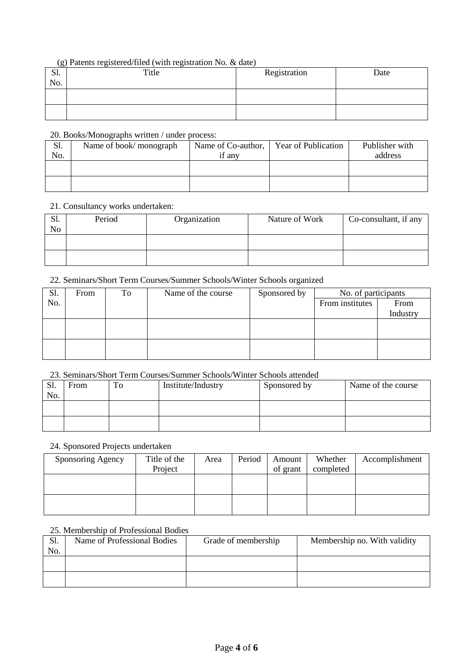# (g) Patents registered/filed (with registration No. & date)

| $\sim$<br>Sl.<br>No. | Title | Registration | Date |
|----------------------|-------|--------------|------|
|                      |       |              |      |
|                      |       |              |      |

# 20. Books/Monographs written / under process:

| Sl. | Name of book/monograph | Name of Co-author, | <b>Year of Publication</b> | Publisher with |
|-----|------------------------|--------------------|----------------------------|----------------|
| No. |                        | if any             |                            | address        |
|     |                        |                    |                            |                |
|     |                        |                    |                            |                |
|     |                        |                    |                            |                |
|     |                        |                    |                            |                |

## 21. Consultancy works undertaken:

| Sl.<br>N <sub>o</sub> | Period | Organization | Nature of Work | Co-consultant, if any |
|-----------------------|--------|--------------|----------------|-----------------------|
|                       |        |              |                |                       |
|                       |        |              |                |                       |

# 22. Seminars/Short Term Courses/Summer Schools/Winter Schools organized

| Sl. | From | To | Name of the course | Sponsored by | No. of participants |          |
|-----|------|----|--------------------|--------------|---------------------|----------|
| No. |      |    |                    |              | From institutes     | From     |
|     |      |    |                    |              |                     | Industry |
|     |      |    |                    |              |                     |          |
|     |      |    |                    |              |                     |          |
|     |      |    |                    |              |                     |          |
|     |      |    |                    |              |                     |          |

# 23. Seminars/Short Term Courses/Summer Schools/Winter Schools attended

| S1.<br>No. | From | To | Institute/Industry | Sponsored by | Name of the course |
|------------|------|----|--------------------|--------------|--------------------|
|            |      |    |                    |              |                    |
|            |      |    |                    |              |                    |

# 24. Sponsored Projects undertaken

| Sponsoring Agency | Title of the | Area | Period | Amount   | Whether   | Accomplishment |
|-------------------|--------------|------|--------|----------|-----------|----------------|
|                   | Project      |      |        | of grant | completed |                |
|                   |              |      |        |          |           |                |
|                   |              |      |        |          |           |                |
|                   |              |      |        |          |           |                |
|                   |              |      |        |          |           |                |

# 25. Membership of Professional Bodies

| S1. | Name of Professional Bodies | Grade of membership | Membership no. With validity |
|-----|-----------------------------|---------------------|------------------------------|
| No. |                             |                     |                              |
|     |                             |                     |                              |
|     |                             |                     |                              |
|     |                             |                     |                              |
|     |                             |                     |                              |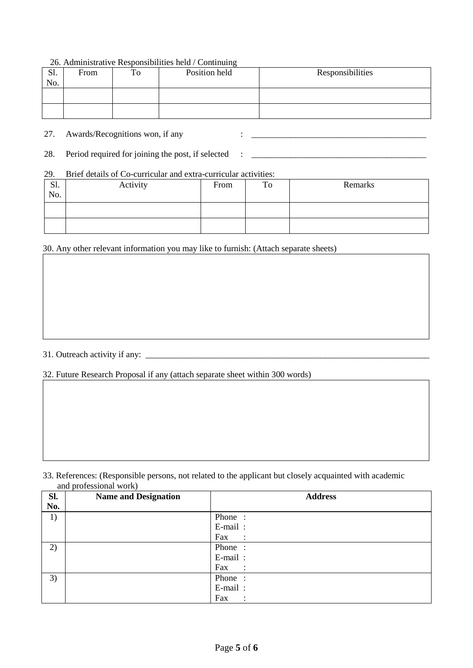## 26. Administrative Responsibilities held / Continuing

| S1.<br>No. | From | To | Position held | Responsibilities |
|------------|------|----|---------------|------------------|
|            |      |    |               |                  |
|            |      |    |               |                  |

27. Awards/Recognitions won, if any : \_\_\_\_\_\_\_\_\_\_\_\_\_\_\_\_\_\_\_\_\_\_\_\_\_\_\_\_\_\_\_\_\_\_\_\_\_\_\_\_

28. Period required for joining the post, if selected : \_\_\_\_\_\_\_\_\_\_\_\_\_\_\_\_\_\_\_\_\_\_\_\_\_\_\_\_\_\_\_\_\_\_\_\_\_\_\_\_

## 29. Brief details of Co-curricular and extra-curricular activities:

| S1.<br>No. | Activity | From | To | Remarks |
|------------|----------|------|----|---------|
|            |          |      |    |         |
|            |          |      |    |         |

30. Any other relevant information you may like to furnish: (Attach separate sheets)

# 31. Outreach activity if any: \_\_\_\_\_\_\_\_\_\_\_\_\_\_\_\_\_\_\_\_\_\_\_\_\_\_\_\_\_\_\_\_\_\_\_\_\_\_\_\_\_\_\_\_\_\_\_\_\_\_\_\_\_\_\_\_\_\_\_\_\_\_\_\_\_

32. Future Research Proposal if any (attach separate sheet within 300 words)

33. References: (Responsible persons, not related to the applicant but closely acquainted with academic and professional work)

| Sl. | <b>Name and Designation</b> | <b>Address</b>        |
|-----|-----------------------------|-----------------------|
| No. |                             |                       |
| 1)  |                             | Phone:                |
|     |                             | E-mail:               |
|     |                             | Fax<br>$\sim$ 1       |
| 2)  |                             | Phone:                |
|     |                             | E-mail:               |
|     |                             | Fax<br>$\sim$ :       |
| 3)  |                             | Phone:                |
|     |                             | E-mail:               |
|     |                             | Fax<br>$\ddot{\cdot}$ |